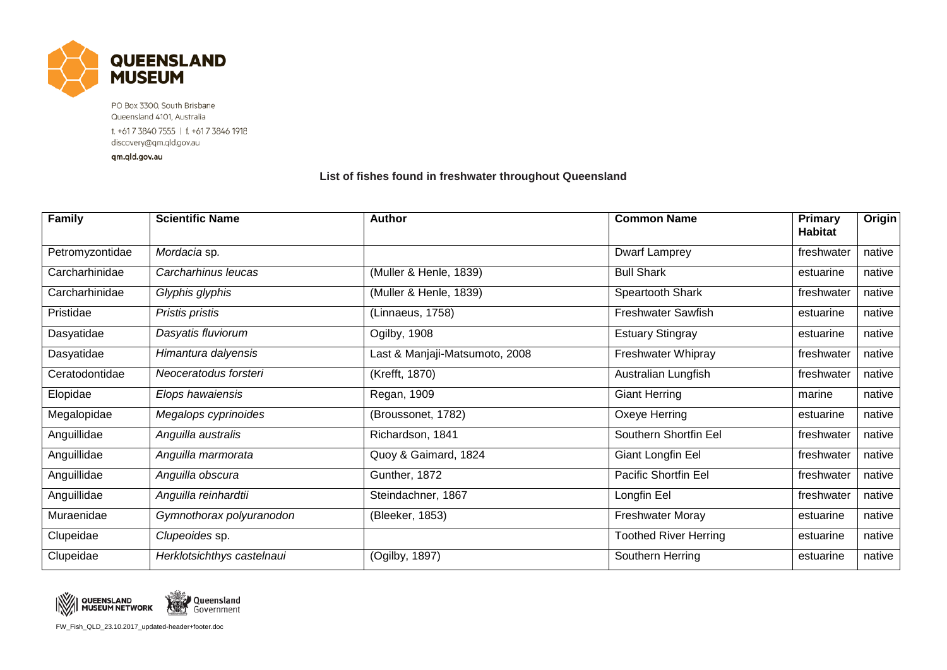

PO Box 3300, South Brisbane Queensland 4101, Australia t. +61 7 3840 7555 | f. +61 7 3846 1918 discovery@qm.qld.gov.au

qm.qld.gov.au

## **List of fishes found in freshwater throughout Queensland**

| <b>Family</b>   | <b>Scientific Name</b>     | <b>Author</b>                  | <b>Common Name</b>           | Primary<br><b>Habitat</b> | Origin |
|-----------------|----------------------------|--------------------------------|------------------------------|---------------------------|--------|
| Petromyzontidae | Mordacia sp.               |                                | Dwarf Lamprey                | freshwater                | native |
| Carcharhinidae  | Carcharhinus leucas        | (Muller & Henle, 1839)         | <b>Bull Shark</b>            | estuarine                 | native |
| Carcharhinidae  | Glyphis glyphis            | (Muller & Henle, 1839)         | Speartooth Shark             | freshwater                | native |
| Pristidae       | Pristis pristis            | (Linnaeus, 1758)               | <b>Freshwater Sawfish</b>    | estuarine                 | native |
| Dasyatidae      | Dasyatis fluviorum         | Ogilby, 1908                   | <b>Estuary Stingray</b>      | estuarine                 | native |
| Dasyatidae      | Himantura dalyensis        | Last & Manjaji-Matsumoto, 2008 | Freshwater Whipray           | freshwater                | native |
| Ceratodontidae  | Neoceratodus forsteri      | (Krefft, 1870)                 | Australian Lungfish          | freshwater                | native |
| Elopidae        | Elops hawaiensis           | Regan, 1909                    | <b>Giant Herring</b>         | marine                    | native |
| Megalopidae     | Megalops cyprinoides       | (Broussonet, 1782)             | Oxeye Herring                | estuarine                 | native |
| Anguillidae     | Anguilla australis         | Richardson, 1841               | Southern Shortfin Eel        | freshwater                | native |
| Anguillidae     | Anguilla marmorata         | Quoy & Gaimard, 1824           | Giant Longfin Eel            | freshwater                | native |
| Anguillidae     | Anguilla obscura           | Gunther, 1872                  | Pacific Shortfin Eel         | freshwater                | native |
| Anguillidae     | Anguilla reinhardtii       | Steindachner, 1867             | Longfin Eel                  | freshwater                | native |
| Muraenidae      | Gymnothorax polyuranodon   | (Bleeker, 1853)                | Freshwater Moray             | estuarine                 | native |
| Clupeidae       | Clupeoides sp.             |                                | <b>Toothed River Herring</b> | estuarine                 | native |
| Clupeidae       | Herklotsichthys castelnaui | (Ogilby, 1897)                 | Southern Herring             | estuarine                 | native |



FW\_Fish\_QLD\_23.10.2017\_updated-header+footer.doc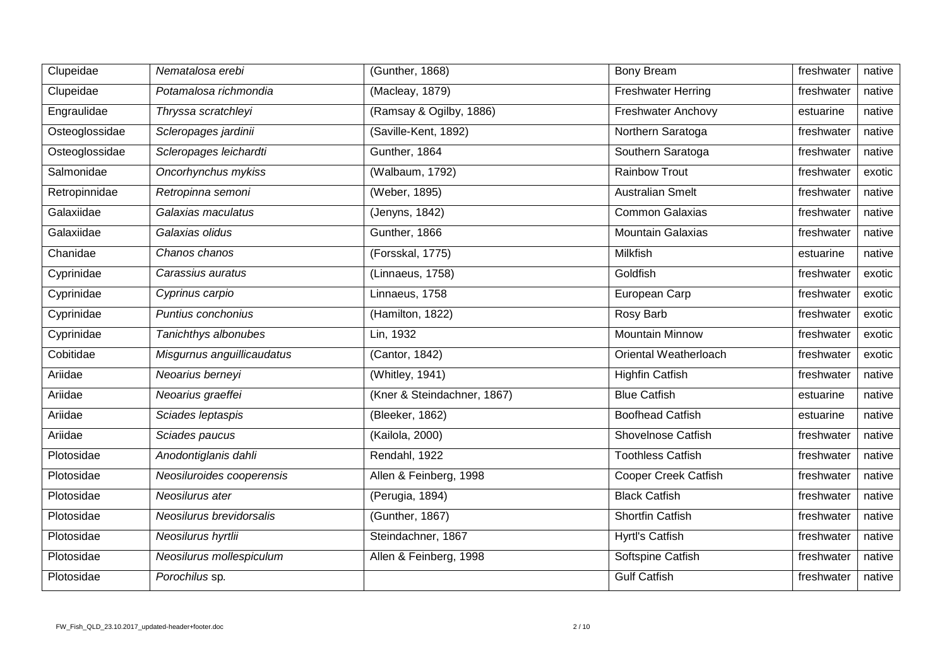| Clupeidae      | Nematalosa erebi           | (Gunther, 1868)             | <b>Bony Bream</b>           | freshwater | native |
|----------------|----------------------------|-----------------------------|-----------------------------|------------|--------|
| Clupeidae      | Potamalosa richmondia      | (Macleay, 1879)             | <b>Freshwater Herring</b>   | freshwater | native |
| Engraulidae    | Thryssa scratchleyi        | (Ramsay & Ogilby, 1886)     | <b>Freshwater Anchovy</b>   | estuarine  | native |
| Osteoglossidae | Scleropages jardinii       | (Saville-Kent, 1892)        | Northern Saratoga           | freshwater | native |
| Osteoglossidae | Scleropages leichardti     | Gunther, 1864               | Southern Saratoga           | freshwater | native |
| Salmonidae     | Oncorhynchus mykiss        | (Walbaum, 1792)             | <b>Rainbow Trout</b>        | freshwater | exotic |
| Retropinnidae  | Retropinna semoni          | (Weber, 1895)               | <b>Australian Smelt</b>     | freshwater | native |
| Galaxiidae     | Galaxias maculatus         | (Jenyns, 1842)              | <b>Common Galaxias</b>      | freshwater | native |
| Galaxiidae     | Galaxias olidus            | Gunther, 1866               | <b>Mountain Galaxias</b>    | freshwater | native |
| Chanidae       | Chanos chanos              | (Forsskal, 1775)            | Milkfish                    | estuarine  | native |
| Cyprinidae     | Carassius auratus          | (Linnaeus, 1758)            | Goldfish                    | freshwater | exotic |
| Cyprinidae     | Cyprinus carpio            | Linnaeus, 1758              | European Carp               | freshwater | exotic |
| Cyprinidae     | Puntius conchonius         | (Hamilton, 1822)            | Rosy Barb                   | freshwater | exotic |
| Cyprinidae     | Tanichthys albonubes       | Lin, 1932                   | <b>Mountain Minnow</b>      | freshwater | exotic |
| Cobitidae      | Misgurnus anguillicaudatus | (Cantor, 1842)              | Oriental Weatherloach       | freshwater | exotic |
| Ariidae        | Neoarius berneyi           | (Whitley, 1941)             | <b>Highfin Catfish</b>      | freshwater | native |
| Ariidae        | Neoarius graeffei          | (Kner & Steindachner, 1867) | <b>Blue Catfish</b>         | estuarine  | native |
| Ariidae        | Sciades leptaspis          | (Bleeker, 1862)             | <b>Boofhead Catfish</b>     | estuarine  | native |
| Ariidae        | Sciades paucus             | (Kailola, 2000)             | <b>Shovelnose Catfish</b>   | freshwater | native |
| Plotosidae     | Anodontiglanis dahli       | Rendahl, 1922               | <b>Toothless Catfish</b>    | freshwater | native |
| Plotosidae     | Neosiluroides cooperensis  | Allen & Feinberg, 1998      | <b>Cooper Creek Catfish</b> | freshwater | native |
| Plotosidae     | Neosilurus ater            | (Perugia, 1894)             | <b>Black Catfish</b>        | freshwater | native |
| Plotosidae     | Neosilurus brevidorsalis   | (Gunther, 1867)             | <b>Shortfin Catfish</b>     | freshwater | native |
| Plotosidae     | Neosilurus hyrtlii         | Steindachner, 1867          | <b>Hyrtl's Catfish</b>      | freshwater | native |
| Plotosidae     | Neosilurus mollespiculum   | Allen & Feinberg, 1998      | Softspine Catfish           | freshwater | native |
| Plotosidae     | Porochilus sp.             |                             | <b>Gulf Catfish</b>         | freshwater | native |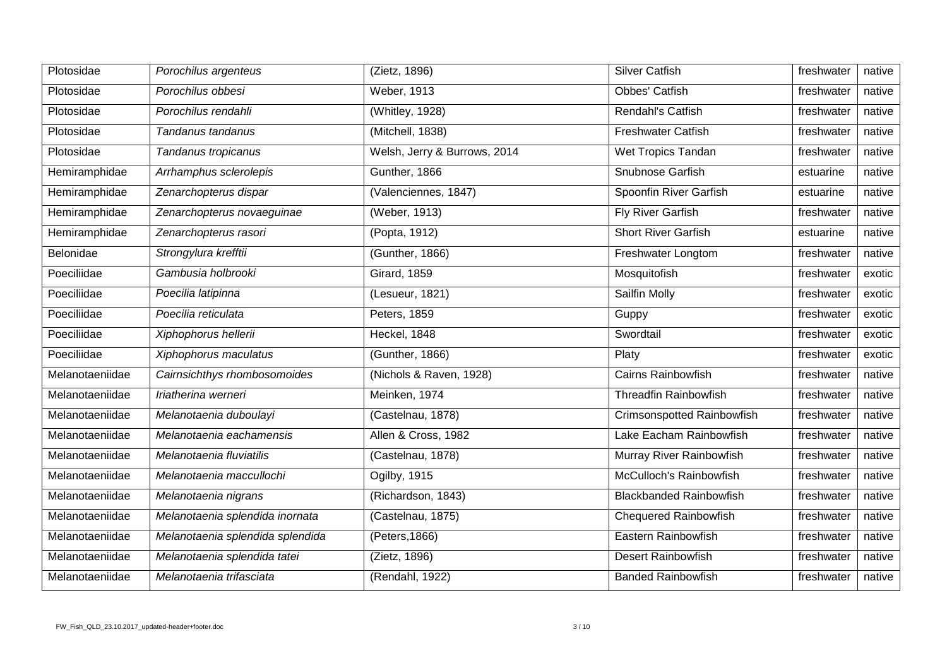| Plotosidae      | Porochilus argenteus             | (Zietz, 1896)                | <b>Silver Catfish</b>             | freshwater | native |
|-----------------|----------------------------------|------------------------------|-----------------------------------|------------|--------|
| Plotosidae      | Porochilus obbesi                | Weber, 1913                  | Obbes' Catfish                    | freshwater | native |
| Plotosidae      | Porochilus rendahli              | (Whitley, 1928)              | Rendahl's Catfish                 | freshwater | native |
| Plotosidae      | Tandanus tandanus                | (Mitchell, 1838)             | <b>Freshwater Catfish</b>         | freshwater | native |
| Plotosidae      | Tandanus tropicanus              | Welsh, Jerry & Burrows, 2014 | <b>Wet Tropics Tandan</b>         | freshwater | native |
| Hemiramphidae   | Arrhamphus sclerolepis           | Gunther, 1866                | Snubnose Garfish                  | estuarine  | native |
| Hemiramphidae   | Zenarchopterus dispar            | (Valenciennes, 1847)         | Spoonfin River Garfish            | estuarine  | native |
| Hemiramphidae   | Zenarchopterus novaeguinae       | (Weber, 1913)                | <b>Fly River Garfish</b>          | freshwater | native |
| Hemiramphidae   | Zenarchopterus rasori            | (Popta, 1912)                | <b>Short River Garfish</b>        | estuarine  | native |
| Belonidae       | Strongylura krefftii             | (Gunther, 1866)              | Freshwater Longtom                | freshwater | native |
| Poeciliidae     | Gambusia holbrooki               | <b>Girard, 1859</b>          | Mosquitofish                      | freshwater | exotic |
| Poeciliidae     | Poecilia latipinna               | (Lesueur, 1821)              | Sailfin Molly                     | freshwater | exotic |
| Poeciliidae     | Poecilia reticulata              | Peters, 1859                 | Guppy                             | freshwater | exotic |
| Poeciliidae     | Xiphophorus hellerii             | Heckel, 1848                 | Swordtail                         | freshwater | exotic |
| Poeciliidae     | Xiphophorus maculatus            | (Gunther, 1866)              | Platy                             | freshwater | exotic |
| Melanotaeniidae | Cairnsichthys rhombosomoides     | (Nichols & Raven, 1928)      | <b>Cairns Rainbowfish</b>         | freshwater | native |
| Melanotaeniidae | Iriatherina werneri              | Meinken, 1974                | <b>Threadfin Rainbowfish</b>      | freshwater | native |
| Melanotaeniidae | Melanotaenia duboulayi           | (Castelnau, 1878)            | <b>Crimsonspotted Rainbowfish</b> | freshwater | native |
| Melanotaeniidae | Melanotaenia eachamensis         | Allen & Cross, 1982          | Lake Eacham Rainbowfish           | freshwater | native |
| Melanotaeniidae | Melanotaenia fluviatilis         | (Castelnau, 1878)            | Murray River Rainbowfish          | freshwater | native |
| Melanotaeniidae | Melanotaenia maccullochi         | Ogilby, 1915                 | McCulloch's Rainbowfish           | freshwater | native |
| Melanotaeniidae | Melanotaenia nigrans             | (Richardson, 1843)           | <b>Blackbanded Rainbowfish</b>    | freshwater | native |
| Melanotaeniidae | Melanotaenia splendida inornata  | (Castelnau, 1875)            | <b>Chequered Rainbowfish</b>      | freshwater | native |
| Melanotaeniidae | Melanotaenia splendida splendida | (Peters, 1866)               | Eastern Rainbowfish               | freshwater | native |
| Melanotaeniidae | Melanotaenia splendida tatei     | (Zietz, 1896)                | <b>Desert Rainbowfish</b>         | freshwater | native |
| Melanotaeniidae | Melanotaenia trifasciata         | (Rendahl, 1922)              | <b>Banded Rainbowfish</b>         | freshwater | native |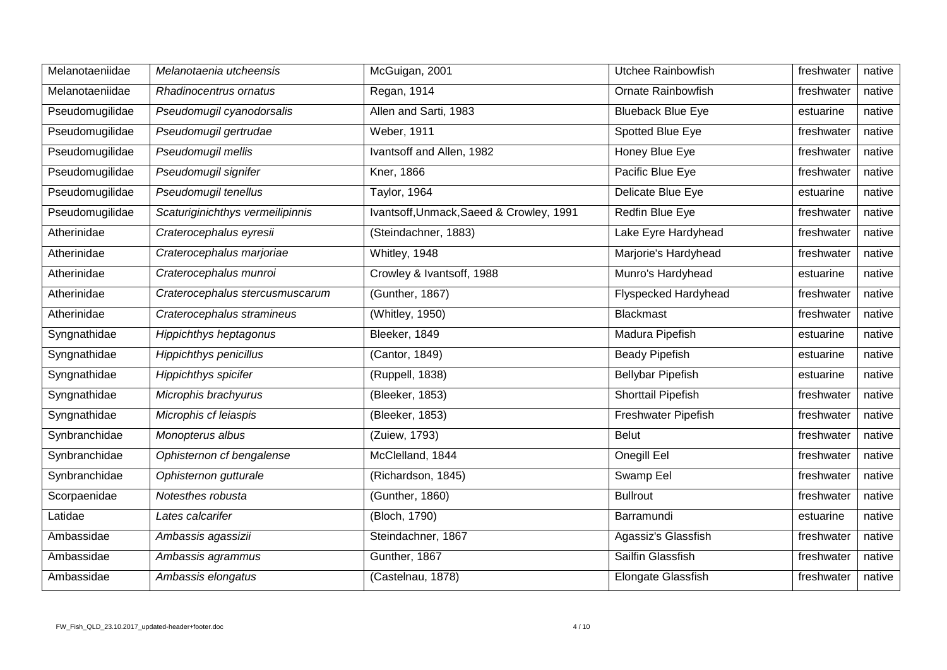| Melanotaeniidae | Melanotaenia utcheensis          | McGuigan, 2001                           | Utchee Rainbowfish          | freshwater | native |
|-----------------|----------------------------------|------------------------------------------|-----------------------------|------------|--------|
| Melanotaeniidae | Rhadinocentrus ornatus           | Regan, 1914                              | <b>Ornate Rainbowfish</b>   | freshwater | native |
| Pseudomugilidae | Pseudomugil cyanodorsalis        | Allen and Sarti, 1983                    | <b>Blueback Blue Eye</b>    | estuarine  | native |
| Pseudomugilidae | Pseudomugil gertrudae            | <b>Weber, 1911</b>                       | Spotted Blue Eye            | freshwater | native |
| Pseudomugilidae | Pseudomugil mellis               | Ivantsoff and Allen, 1982                | Honey Blue Eye              | freshwater | native |
| Pseudomugilidae | Pseudomugil signifer             | Kner, 1866                               | Pacific Blue Eye            | freshwater | native |
| Pseudomugilidae | Pseudomugil tenellus             | Taylor, 1964                             | Delicate Blue Eye           | estuarine  | native |
| Pseudomugilidae | Scaturiginichthys vermeilipinnis | Ivantsoff, Unmack, Saeed & Crowley, 1991 | Redfin Blue Eye             | freshwater | native |
| Atherinidae     | Craterocephalus eyresii          | (Steindachner, 1883)                     | Lake Eyre Hardyhead         | freshwater | native |
| Atherinidae     | Craterocephalus marjoriae        | Whitley, 1948                            | Marjorie's Hardyhead        | freshwater | native |
| Atherinidae     | Craterocephalus munroi           | Crowley & Ivantsoff, 1988                | Munro's Hardyhead           | estuarine  | native |
| Atherinidae     | Craterocephalus stercusmuscarum  | (Gunther, 1867)                          | <b>Flyspecked Hardyhead</b> | freshwater | native |
| Atherinidae     | Craterocephalus stramineus       | (Whitley, 1950)                          | <b>Blackmast</b>            | freshwater | native |
| Syngnathidae    | <b>Hippichthys heptagonus</b>    | Bleeker, 1849                            | Madura Pipefish             | estuarine  | native |
| Syngnathidae    | <b>Hippichthys penicillus</b>    | (Cantor, 1849)                           | <b>Beady Pipefish</b>       | estuarine  | native |
| Syngnathidae    | Hippichthys spicifer             | (Ruppell, 1838)                          | <b>Bellybar Pipefish</b>    | estuarine  | native |
| Syngnathidae    | Microphis brachyurus             | (Bleeker, 1853)                          | Shorttail Pipefish          | freshwater | native |
| Syngnathidae    | Microphis cf leiaspis            | (Bleeker, 1853)                          | Freshwater Pipefish         | freshwater | native |
| Synbranchidae   | Monopterus albus                 | (Zuiew, 1793)                            | <b>Belut</b>                | freshwater | native |
| Synbranchidae   | Ophisternon cf bengalense        | McClelland, 1844                         | Onegill Eel                 | freshwater | native |
| Synbranchidae   | Ophisternon gutturale            | (Richardson, 1845)                       | Swamp Eel                   | freshwater | native |
| Scorpaenidae    | Notesthes robusta                | (Gunther, 1860)                          | <b>Bullrout</b>             | freshwater | native |
| Latidae         | Lates calcarifer                 | (Bloch, 1790)                            | Barramundi                  | estuarine  | native |
| Ambassidae      | Ambassis agassizii               | Steindachner, 1867                       | Agassiz's Glassfish         | freshwater | native |
| Ambassidae      | Ambassis agrammus                | Gunther, 1867                            | Sailfin Glassfish           | freshwater | native |
| Ambassidae      | Ambassis elongatus               | (Castelnau, 1878)                        | Elongate Glassfish          | freshwater | native |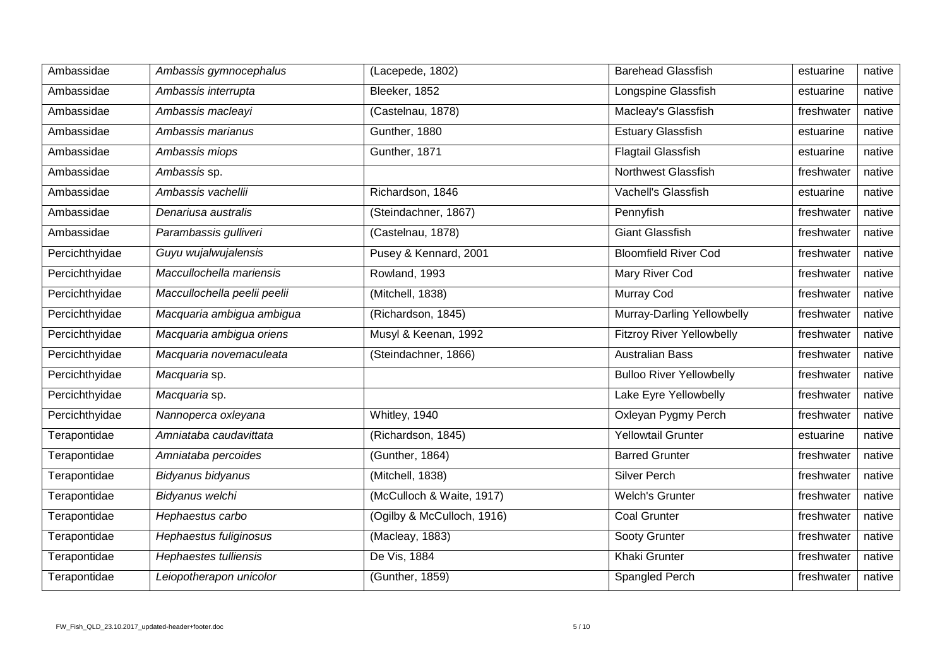| Ambassidae          | Ambassis gymnocephalus       | (Lacepede, 1802)           | <b>Barehead Glassfish</b>        | estuarine  | native |
|---------------------|------------------------------|----------------------------|----------------------------------|------------|--------|
| Ambassidae          | Ambassis interrupta          | Bleeker, 1852              | Longspine Glassfish              | estuarine  | native |
| Ambassidae          | Ambassis macleayi            | (Castelnau, 1878)          | Macleay's Glassfish              | freshwater | native |
| Ambassidae          | Ambassis marianus            | Gunther, 1880              | <b>Estuary Glassfish</b>         | estuarine  | native |
| Ambassidae          | Ambassis miops               | Gunther, 1871              | <b>Flagtail Glassfish</b>        | estuarine  | native |
| Ambassidae          | Ambassis sp.                 |                            | <b>Northwest Glassfish</b>       | freshwater | native |
| Ambassidae          | Ambassis vachellii           | Richardson, 1846           | Vachell's Glassfish              | estuarine  | native |
| Ambassidae          | Denariusa australis          | (Steindachner, 1867)       | Pennyfish                        | freshwater | native |
| Ambassidae          | Parambassis gulliveri        | (Castelnau, 1878)          | <b>Giant Glassfish</b>           | freshwater | native |
| Percichthyidae      | Guyu wujalwujalensis         | Pusey & Kennard, 2001      | <b>Bloomfield River Cod</b>      | freshwater | native |
| Percichthyidae      | Maccullochella mariensis     | Rowland, 1993              | <b>Mary River Cod</b>            | freshwater | native |
| Percichthyidae      | Maccullochella peelii peelii | (Mitchell, 1838)           | <b>Murray Cod</b>                | freshwater | native |
| Percichthyidae      | Macquaria ambigua ambigua    | (Richardson, 1845)         | Murray-Darling Yellowbelly       | freshwater | native |
| Percichthyidae      | Macquaria ambigua oriens     | Musyl & Keenan, 1992       | <b>Fitzroy River Yellowbelly</b> | freshwater | native |
| Percichthyidae      | Macquaria novemaculeata      | (Steindachner, 1866)       | <b>Australian Bass</b>           | freshwater | native |
| Percichthyidae      | Macquaria sp.                |                            | <b>Bulloo River Yellowbelly</b>  | freshwater | native |
| Percichthyidae      | Macquaria sp.                |                            | Lake Eyre Yellowbelly            | freshwater | native |
| Percichthyidae      | Nannoperca oxleyana          | Whitley, 1940              | Oxleyan Pygmy Perch              | freshwater | native |
| Terapontidae        | Amniataba caudavittata       | (Richardson, 1845)         | <b>Yellowtail Grunter</b>        | estuarine  | native |
| Terapontidae        | Amniataba percoides          | (Gunther, 1864)            | <b>Barred Grunter</b>            | freshwater | native |
| Terapontidae        | Bidyanus bidyanus            | (Mitchell, 1838)           | Silver Perch                     | freshwater | native |
| Terapontidae        | Bidyanus welchi              | (McCulloch & Waite, 1917)  | <b>Welch's Grunter</b>           | freshwater | native |
| Terapontidae        | Hephaestus carbo             | (Ogilby & McCulloch, 1916) | <b>Coal Grunter</b>              | freshwater | native |
| <b>Terapontidae</b> | Hephaestus fuliginosus       | (Macleay, 1883)            | Sooty Grunter                    | freshwater | native |
| Terapontidae        | Hephaestes tulliensis        | De Vis, 1884               | <b>Khaki Grunter</b>             | freshwater | native |
| Terapontidae        | Leiopotherapon unicolor      | (Gunther, 1859)            | Spangled Perch                   | freshwater | native |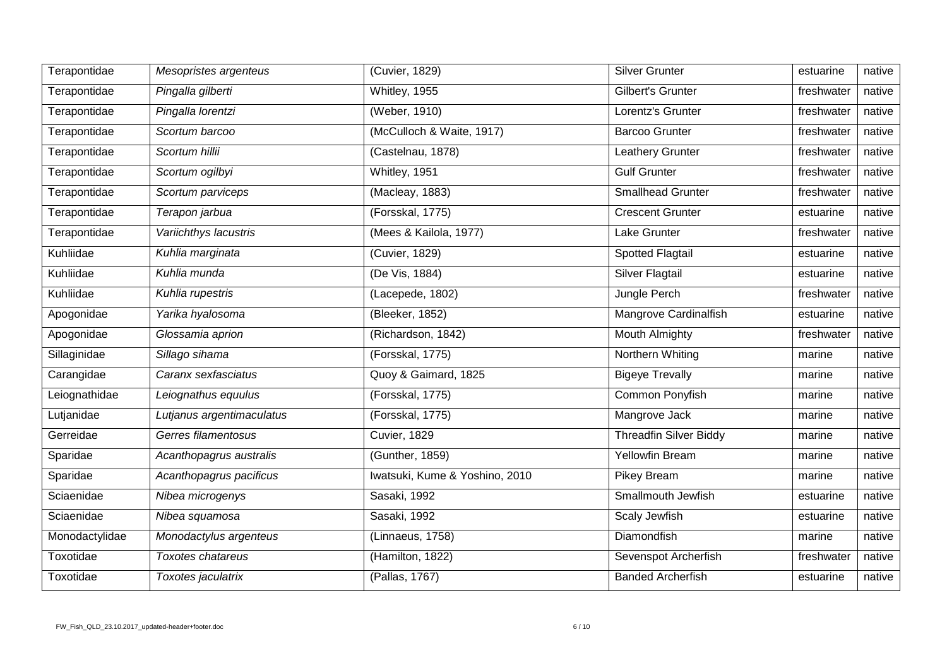| Terapontidae   | Mesopristes argenteus     | (Cuvier, 1829)                 | <b>Silver Grunter</b>         | estuarine  | native |
|----------------|---------------------------|--------------------------------|-------------------------------|------------|--------|
| Terapontidae   | Pingalla gilberti         | Whitley, 1955                  | Gilbert's Grunter             | freshwater | native |
| Terapontidae   | Pingalla lorentzi         | (Weber, 1910)                  | Lorentz's Grunter             | freshwater | native |
| Terapontidae   | Scortum barcoo            | (McCulloch & Waite, 1917)      | <b>Barcoo Grunter</b>         | freshwater | native |
| Terapontidae   | Scortum hillii            | (Castelnau, 1878)              | Leathery Grunter              | freshwater | native |
| Terapontidae   | Scortum ogilbyi           | Whitley, 1951                  | <b>Gulf Grunter</b>           | freshwater | native |
| Terapontidae   | Scortum parviceps         | (Macleay, 1883)                | <b>Smallhead Grunter</b>      | freshwater | native |
| Terapontidae   | Terapon jarbua            | (Forsskal, 1775)               | <b>Crescent Grunter</b>       | estuarine  | native |
| Terapontidae   | Variichthys lacustris     | (Mees & Kailola, 1977)         | Lake Grunter                  | freshwater | native |
| Kuhliidae      | Kuhlia marginata          | (Cuvier, 1829)                 | Spotted Flagtail              | estuarine  | native |
| Kuhliidae      | Kuhlia munda              | (De Vis, 1884)                 | <b>Silver Flagtail</b>        | estuarine  | native |
| Kuhliidae      | Kuhlia rupestris          | (Lacepede, 1802)               | Jungle Perch                  | freshwater | native |
| Apogonidae     | Yarika hyalosoma          | (Bleeker, 1852)                | Mangrove Cardinalfish         | estuarine  | native |
| Apogonidae     | Glossamia aprion          | (Richardson, 1842)             | Mouth Almighty                | freshwater | native |
| Sillaginidae   | Sillago sihama            | (Forsskal, 1775)               | Northern Whiting              | marine     | native |
| Carangidae     | Caranx sexfasciatus       | Quoy & Gaimard, 1825           | <b>Bigeye Trevally</b>        | marine     | native |
| Leiognathidae  | Leiognathus equulus       | (Forsskal, 1775)               | Common Ponyfish               | marine     | native |
| Lutjanidae     | Lutjanus argentimaculatus | (Forsskal, 1775)               | Mangrove Jack                 | marine     | native |
| Gerreidae      | Gerres filamentosus       | <b>Cuvier, 1829</b>            | <b>Threadfin Silver Biddy</b> | marine     | native |
| Sparidae       | Acanthopagrus australis   | (Gunther, 1859)                | Yellowfin Bream               | marine     | native |
| Sparidae       | Acanthopagrus pacificus   | Iwatsuki, Kume & Yoshino, 2010 | Pikey Bream                   | marine     | native |
| Sciaenidae     | Nibea microgenys          | Sasaki, 1992                   | Smallmouth Jewfish            | estuarine  | native |
| Sciaenidae     | Nibea squamosa            | Sasaki, 1992                   | Scaly Jewfish                 | estuarine  | native |
| Monodactylidae | Monodactylus argenteus    | (Linnaeus, 1758)               | Diamondfish                   | marine     | native |
| Toxotidae      | Toxotes chatareus         | (Hamilton, 1822)               | Sevenspot Archerfish          | freshwater | native |
| Toxotidae      | Toxotes jaculatrix        | (Pallas, 1767)                 | <b>Banded Archerfish</b>      | estuarine  | native |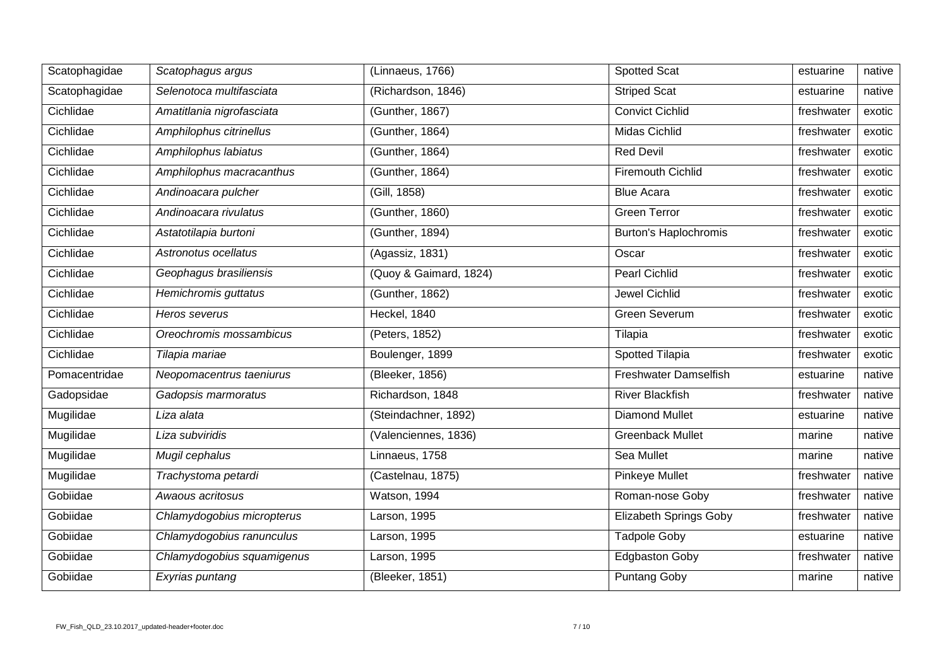| Scatophagidae | Scatophagus argus          | (Linnaeus, 1766)       | Spotted Scat                  | estuarine  | native |
|---------------|----------------------------|------------------------|-------------------------------|------------|--------|
| Scatophagidae | Selenotoca multifasciata   | (Richardson, 1846)     | <b>Striped Scat</b>           | estuarine  | native |
| Cichlidae     | Amatitlania nigrofasciata  | (Gunther, 1867)        | <b>Convict Cichlid</b>        | freshwater | exotic |
| Cichlidae     | Amphilophus citrinellus    | (Gunther, 1864)        | Midas Cichlid                 | freshwater | exotic |
| Cichlidae     | Amphilophus labiatus       | (Gunther, 1864)        | <b>Red Devil</b>              | freshwater | exotic |
| Cichlidae     | Amphilophus macracanthus   | (Gunther, 1864)        | <b>Firemouth Cichlid</b>      | freshwater | exotic |
| Cichlidae     | Andinoacara pulcher        | (Gill, 1858)           | <b>Blue Acara</b>             | freshwater | exotic |
| Cichlidae     | Andinoacara rivulatus      | (Gunther, 1860)        | <b>Green Terror</b>           | freshwater | exotic |
| Cichlidae     | Astatotilapia burtoni      | (Gunther, 1894)        | Burton's Haplochromis         | freshwater | exotic |
| Cichlidae     | Astronotus ocellatus       | (Agassiz, 1831)        | Oscar                         | freshwater | exotic |
| Cichlidae     | Geophagus brasiliensis     | (Quoy & Gaimard, 1824) | <b>Pearl Cichlid</b>          | freshwater | exotic |
| Cichlidae     | Hemichromis guttatus       | (Gunther, 1862)        | <b>Jewel Cichlid</b>          | freshwater | exotic |
| Cichlidae     | Heros severus              | Heckel, 1840           | <b>Green Severum</b>          | freshwater | exotic |
| Cichlidae     | Oreochromis mossambicus    | (Peters, 1852)         | Tilapia                       | freshwater | exotic |
| Cichlidae     | Tilapia mariae             | Boulenger, 1899        | Spotted Tilapia               | freshwater | exotic |
| Pomacentridae | Neopomacentrus taeniurus   | (Bleeker, 1856)        | Freshwater Damselfish         | estuarine  | native |
| Gadopsidae    | Gadopsis marmoratus        | Richardson, 1848       | <b>River Blackfish</b>        | freshwater | native |
| Mugilidae     | Liza alata                 | (Steindachner, 1892)   | <b>Diamond Mullet</b>         | estuarine  | native |
| Mugilidae     | Liza subviridis            | (Valenciennes, 1836)   | <b>Greenback Mullet</b>       | marine     | native |
| Mugilidae     | Mugil cephalus             | Linnaeus, 1758         | Sea Mullet                    | marine     | native |
| Mugilidae     | Trachystoma petardi        | (Castelnau, 1875)      | <b>Pinkeye Mullet</b>         | freshwater | native |
| Gobiidae      | Awaous acritosus           | Watson, 1994           | Roman-nose Goby               | freshwater | native |
| Gobiidae      | Chlamydogobius micropterus | Larson, 1995           | <b>Elizabeth Springs Goby</b> | freshwater | native |
| Gobiidae      | Chlamydogobius ranunculus  | Larson, 1995           | <b>Tadpole Goby</b>           | estuarine  | native |
| Gobiidae      | Chlamydogobius squamigenus | Larson, 1995           | <b>Edgbaston Goby</b>         | freshwater | native |
| Gobiidae      | Exyrias puntang            | (Bleeker, 1851)        | <b>Puntang Goby</b>           | marine     | native |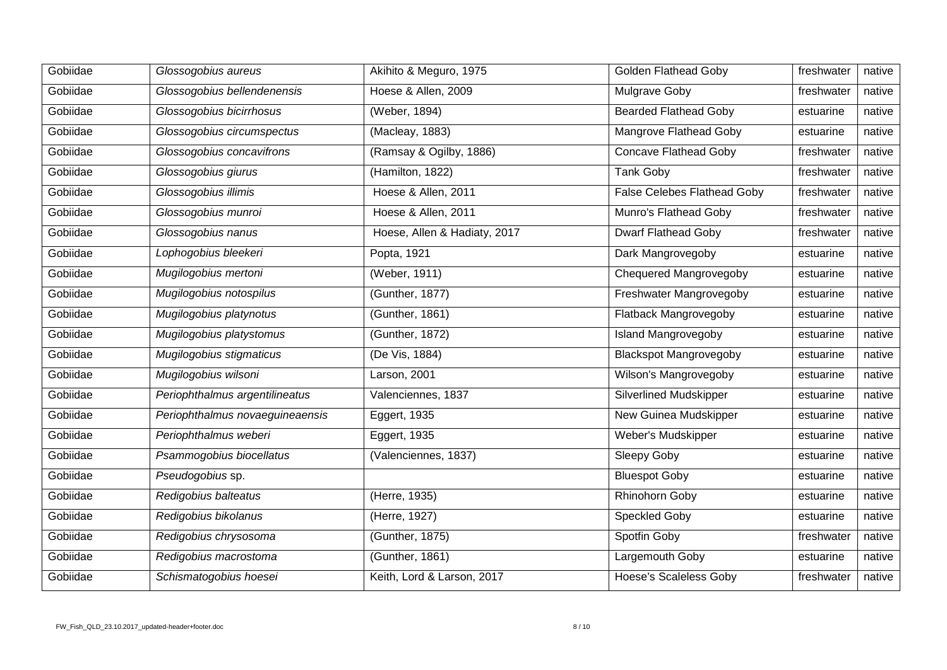| Gobiidae | Glossogobius aureus             | Akihito & Meguro, 1975       | <b>Golden Flathead Goby</b>        | freshwater | native |
|----------|---------------------------------|------------------------------|------------------------------------|------------|--------|
| Gobiidae | Glossogobius bellendenensis     | Hoese & Allen, 2009          | Mulgrave Goby                      | freshwater | native |
| Gobiidae | Glossogobius bicirrhosus        | (Weber, 1894)                | <b>Bearded Flathead Goby</b>       | estuarine  | native |
| Gobiidae | Glossogobius circumspectus      | (Macleay, 1883)              | <b>Mangrove Flathead Goby</b>      | estuarine  | native |
| Gobiidae | Glossogobius concavifrons       | (Ramsay & Ogilby, 1886)      | <b>Concave Flathead Goby</b>       | freshwater | native |
| Gobiidae | Glossogobius giurus             | (Hamilton, 1822)             | Tank Goby                          | freshwater | native |
| Gobiidae | Glossogobius illimis            | Hoese & Allen, 2011          | <b>False Celebes Flathead Goby</b> | freshwater | native |
| Gobiidae | Glossogobius munroi             | Hoese & Allen, 2011          | Munro's Flathead Goby              | freshwater | native |
| Gobiidae | Glossogobius nanus              | Hoese, Allen & Hadiaty, 2017 | <b>Dwarf Flathead Goby</b>         | freshwater | native |
| Gobiidae | Lophogobius bleekeri            | Popta, 1921                  | Dark Mangrovegoby                  | estuarine  | native |
| Gobiidae | Mugilogobius mertoni            | (Weber, 1911)                | Chequered Mangrovegoby             | estuarine  | native |
| Gobiidae | Mugilogobius notospilus         | (Gunther, 1877)              | Freshwater Mangrovegoby            | estuarine  | native |
| Gobiidae | Mugilogobius platynotus         | (Gunther, 1861)              | Flatback Mangrovegoby              | estuarine  | native |
| Gobiidae | Mugilogobius platystomus        | (Gunther, 1872)              | <b>Island Mangrovegoby</b>         | estuarine  | native |
| Gobiidae | Mugilogobius stigmaticus        | (De Vis, 1884)               | <b>Blackspot Mangrovegoby</b>      | estuarine  | native |
| Gobiidae | Mugilogobius wilsoni            | Larson, 2001                 | Wilson's Mangrovegoby              | estuarine  | native |
| Gobiidae | Periophthalmus argentilineatus  | Valenciennes, 1837           | <b>Silverlined Mudskipper</b>      | estuarine  | native |
| Gobiidae | Periophthalmus novaeguineaensis | Eggert, 1935                 | New Guinea Mudskipper              | estuarine  | native |
| Gobiidae | Periophthalmus weberi           | Eggert, 1935                 | Weber's Mudskipper                 | estuarine  | native |
| Gobiidae | Psammogobius biocellatus        | (Valenciennes, 1837)         | Sleepy Goby                        | estuarine  | native |
| Gobiidae | Pseudogobius sp.                |                              | <b>Bluespot Goby</b>               | estuarine  | native |
| Gobiidae | Redigobius balteatus            | (Herre, 1935)                | Rhinohorn Goby                     | estuarine  | native |
| Gobiidae | Redigobius bikolanus            | (Herre, 1927)                | Speckled Goby                      | estuarine  | native |
| Gobiidae | Redigobius chrysosoma           | (Gunther, 1875)              | Spotfin Goby                       | freshwater | native |
| Gobiidae | Redigobius macrostoma           | (Gunther, 1861)              | Largemouth Goby                    | estuarine  | native |
| Gobiidae | Schismatogobius hoesei          | Keith, Lord & Larson, 2017   | <b>Hoese's Scaleless Goby</b>      | freshwater | native |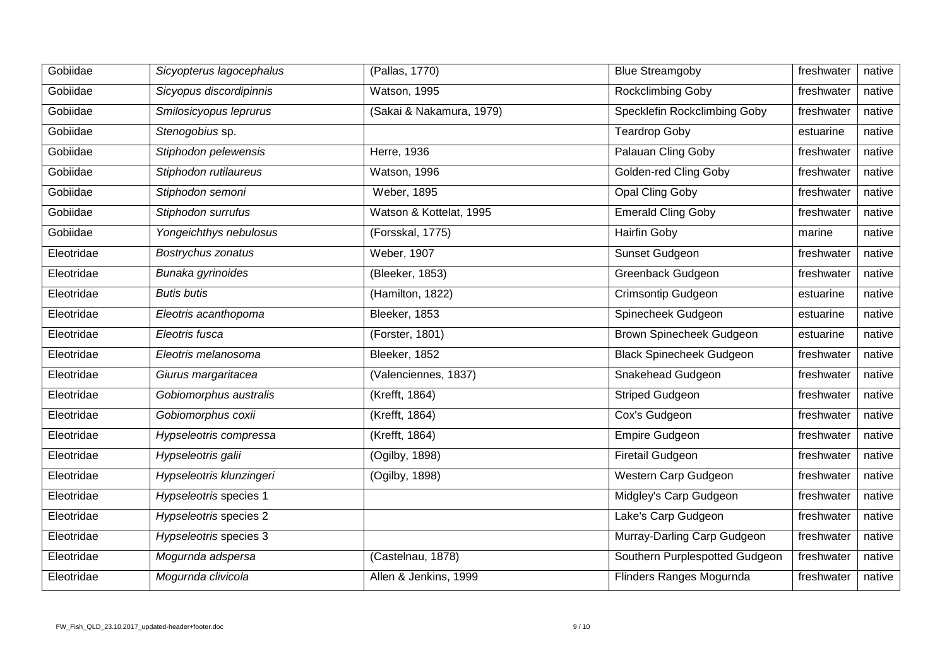| Gobiidae   | Sicyopterus lagocephalus | (Pallas, 1770)           | <b>Blue Streamgoby</b>          | freshwater | native |
|------------|--------------------------|--------------------------|---------------------------------|------------|--------|
| Gobiidae   | Sicyopus discordipinnis  | Watson, 1995             | Rockclimbing Goby               | freshwater | native |
| Gobiidae   | Smilosicyopus leprurus   | (Sakai & Nakamura, 1979) | Specklefin Rockclimbing Goby    | freshwater | native |
| Gobiidae   | Stenogobius sp.          |                          | <b>Teardrop Goby</b>            | estuarine  | native |
| Gobiidae   | Stiphodon pelewensis     | Herre, 1936              | Palauan Cling Goby              | freshwater | native |
| Gobiidae   | Stiphodon rutilaureus    | Watson, 1996             | Golden-red Cling Goby           | freshwater | native |
| Gobiidae   | Stiphodon semoni         | <b>Weber, 1895</b>       | <b>Opal Cling Goby</b>          | freshwater | native |
| Gobiidae   | Stiphodon surrufus       | Watson & Kottelat, 1995  | <b>Emerald Cling Goby</b>       | freshwater | native |
| Gobiidae   | Yongeichthys nebulosus   | (Forsskal, 1775)         | <b>Hairfin Goby</b>             | marine     | native |
| Eleotridae | Bostrychus zonatus       | Weber, 1907              | Sunset Gudgeon                  | freshwater | native |
| Eleotridae | Bunaka gyrinoides        | (Bleeker, 1853)          | Greenback Gudgeon               | freshwater | native |
| Eleotridae | <b>Butis butis</b>       | (Hamilton, 1822)         | <b>Crimsontip Gudgeon</b>       | estuarine  | native |
| Eleotridae | Eleotris acanthopoma     | Bleeker, 1853            | Spinecheek Gudgeon              | estuarine  | native |
| Eleotridae | Eleotris fusca           | (Forster, 1801)          | Brown Spinecheek Gudgeon        | estuarine  | native |
| Eleotridae | Eleotris melanosoma      | Bleeker, 1852            | <b>Black Spinecheek Gudgeon</b> | freshwater | native |
| Eleotridae | Giurus margaritacea      | (Valenciennes, 1837)     | Snakehead Gudgeon               | freshwater | native |
| Eleotridae | Gobiomorphus australis   | (Krefft, 1864)           | <b>Striped Gudgeon</b>          | freshwater | native |
| Eleotridae | Gobiomorphus coxii       | (Krefft, 1864)           | Cox's Gudgeon                   | freshwater | native |
| Eleotridae | Hypseleotris compressa   | (Krefft, 1864)           | <b>Empire Gudgeon</b>           | freshwater | native |
| Eleotridae | Hypseleotris galii       | (Ogilby, 1898)           | <b>Firetail Gudgeon</b>         | freshwater | native |
| Eleotridae | Hypseleotris klunzingeri | (Ogilby, 1898)           | Western Carp Gudgeon            | freshwater | native |
| Eleotridae | Hypseleotris species 1   |                          | Midgley's Carp Gudgeon          | freshwater | native |
| Eleotridae | Hypseleotris species 2   |                          | Lake's Carp Gudgeon             | freshwater | native |
| Eleotridae | Hypseleotris species 3   |                          | Murray-Darling Carp Gudgeon     | freshwater | native |
| Eleotridae | Mogurnda adspersa        | (Castelnau, 1878)        | Southern Purplespotted Gudgeon  | freshwater | native |
| Eleotridae | Mogurnda clivicola       | Allen & Jenkins, 1999    | Flinders Ranges Mogurnda        | freshwater | native |